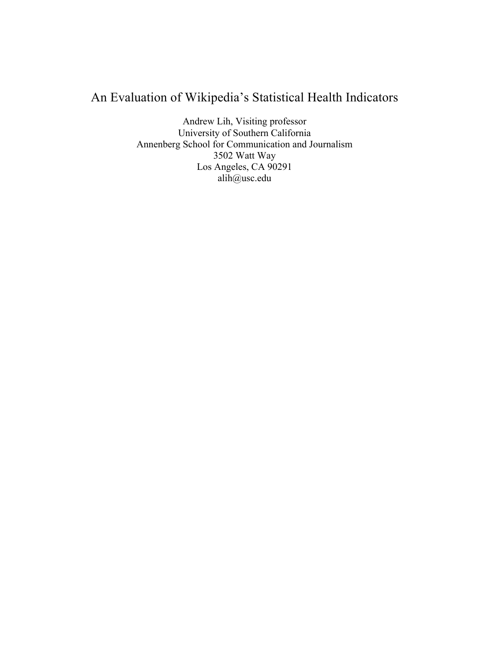# An Evaluation of Wikipedia's Statistical Health Indicators

Andrew Lih, Visiting professor University of Southern California Annenberg School for Communication and Journalism 3502 Watt Way Los Angeles, CA 90291 alih@usc.edu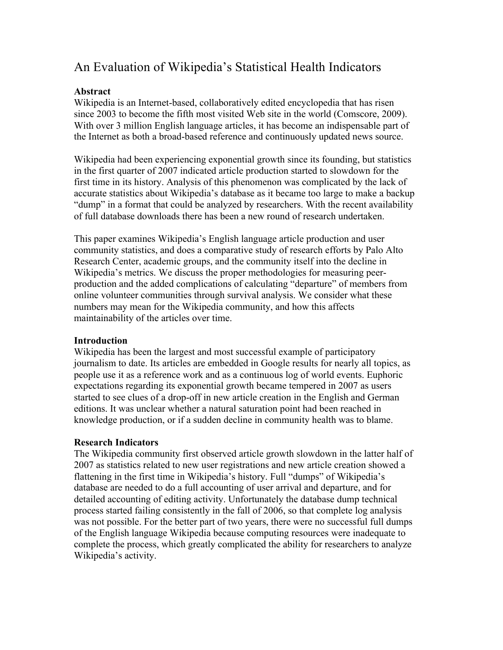## An Evaluation of Wikipedia's Statistical Health Indicators

### **Abstract**

Wikipedia is an Internet-based, collaboratively edited encyclopedia that has risen since 2003 to become the fifth most visited Web site in the world (Comscore, 2009). With over 3 million English language articles, it has become an indispensable part of the Internet as both a broad-based reference and continuously updated news source.

Wikipedia had been experiencing exponential growth since its founding, but statistics in the first quarter of 2007 indicated article production started to slowdown for the first time in its history. Analysis of this phenomenon was complicated by the lack of accurate statistics about Wikipedia's database as it became too large to make a backup "dump" in a format that could be analyzed by researchers. With the recent availability of full database downloads there has been a new round of research undertaken.

This paper examines Wikipedia's English language article production and user community statistics, and does a comparative study of research efforts by Palo Alto Research Center, academic groups, and the community itself into the decline in Wikipedia's metrics. We discuss the proper methodologies for measuring peerproduction and the added complications of calculating "departure" of members from online volunteer communities through survival analysis. We consider what these numbers may mean for the Wikipedia community, and how this affects maintainability of the articles over time.

#### **Introduction**

Wikipedia has been the largest and most successful example of participatory journalism to date. Its articles are embedded in Google results for nearly all topics, as people use it as a reference work and as a continuous log of world events. Euphoric expectations regarding its exponential growth became tempered in 2007 as users started to see clues of a drop-off in new article creation in the English and German editions. It was unclear whether a natural saturation point had been reached in knowledge production, or if a sudden decline in community health was to blame.

#### **Research Indicators**

The Wikipedia community first observed article growth slowdown in the latter half of 2007 as statistics related to new user registrations and new article creation showed a flattening in the first time in Wikipedia's history. Full "dumps" of Wikipedia's database are needed to do a full accounting of user arrival and departure, and for detailed accounting of editing activity. Unfortunately the database dump technical process started failing consistently in the fall of 2006, so that complete log analysis was not possible. For the better part of two years, there were no successful full dumps of the English language Wikipedia because computing resources were inadequate to complete the process, which greatly complicated the ability for researchers to analyze Wikipedia's activity.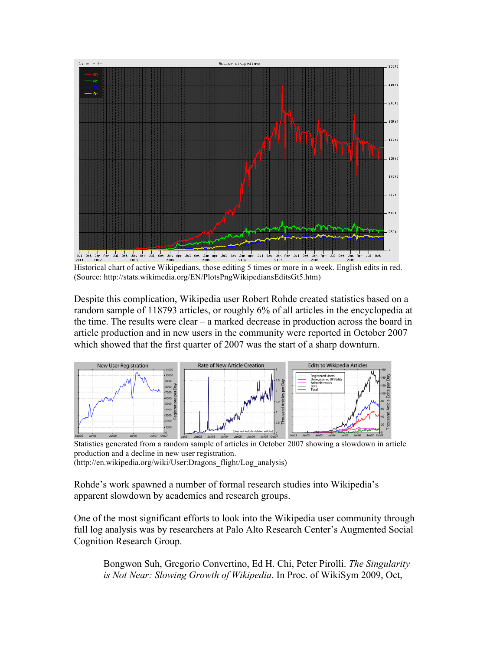

Historical chart of active Wikipedians, those editing 5 times or more in a week. English edits in red. (Source: http://stats.wikimedia.org/EN/PlotsPngWikipediansEditsGt5.htm)

Despite this complication, Wikipedia user Robert Rohde created statistics based on a random sample of 118793 articles, or roughly 6% of all articles in the encyclopedia at the time. The results were clear – a marked decrease in production across the board in article production and in new users in the community were reported in October 2007 which showed that the first quarter of 2007 was the start of a sharp downturn.



Statistics generated from a random sample of articles in October 2007 showing a slowdown in article production and a decline in new user registration. (http://en.wikipedia.org/wiki/User:Dragons\_flight/Log\_analysis)

Rohde's work spawned a number of formal research studies into Wikipedia's apparent slowdown by academics and research groups.

One of the most significant efforts to look into the Wikipedia user community through full log analysis was by researchers at Palo Alto Research Center's Augmented Social Cognition Research Group.

Bongwon Suh, Gregorio Convertino, Ed H. Chi, Peter Pirolli. *The Singularity is Not Near: Slowing Growth of Wikipedia*. In Proc. of WikiSym 2009, Oct,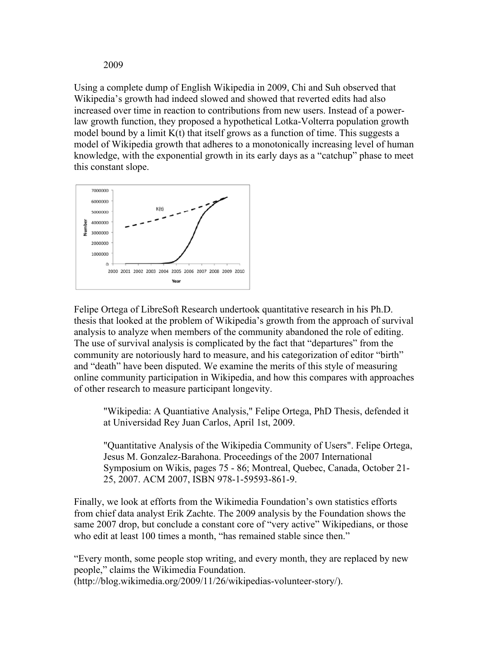2009

Using a complete dump of English Wikipedia in 2009, Chi and Suh observed that Wikipedia's growth had indeed slowed and showed that reverted edits had also increased over time in reaction to contributions from new users. Instead of a powerlaw growth function, they proposed a hypothetical Lotka-Volterra population growth model bound by a limit  $K(t)$  that itself grows as a function of time. This suggests a model of Wikipedia growth that adheres to a monotonically increasing level of human knowledge, with the exponential growth in its early days as a "catchup" phase to meet this constant slope.



Felipe Ortega of LibreSoft Research undertook quantitative research in his Ph.D. thesis that looked at the problem of Wikipedia's growth from the approach of survival analysis to analyze when members of the community abandoned the role of editing. The use of survival analysis is complicated by the fact that "departures" from the community are notoriously hard to measure, and his categorization of editor "birth" and "death" have been disputed. We examine the merits of this style of measuring online community participation in Wikipedia, and how this compares with approaches of other research to measure participant longevity.

"Wikipedia: A Quantiative Analysis," Felipe Ortega, PhD Thesis, defended it at Universidad Rey Juan Carlos, April 1st, 2009.

"Quantitative Analysis of the Wikipedia Community of Users". Felipe Ortega, Jesus M. Gonzalez-Barahona. Proceedings of the 2007 International Symposium on Wikis, pages 75 - 86; Montreal, Quebec, Canada, October 21- 25, 2007. ACM 2007, ISBN 978-1-59593-861-9.

Finally, we look at efforts from the Wikimedia Foundation's own statistics efforts from chief data analyst Erik Zachte. The 2009 analysis by the Foundation shows the same 2007 drop, but conclude a constant core of "very active" Wikipedians, or those who edit at least 100 times a month, "has remained stable since then."

"Every month, some people stop writing, and every month, they are replaced by new people," claims the Wikimedia Foundation. (http://blog.wikimedia.org/2009/11/26/wikipedias-volunteer-story/).